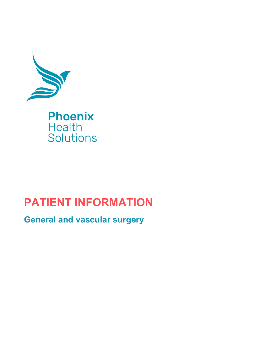

# **PATIENT INFORMATION**

**General and vascular surgery**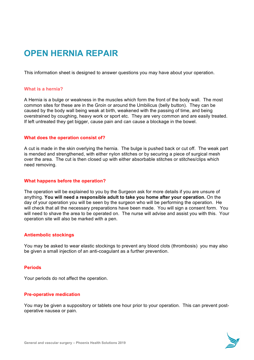# **OPEN HERNIA REPAIR**

This information sheet is designed to answer questions you may have about your operation.

# **What is a hernia?**

A Hernia is a bulge or weakness in the muscles which form the front of the body wall. The most common sites for these are in the Groin or around the Umbilicus (belly button). They can be caused by the body wall being weak at birth, weakened with the passing of time, and being overstrained by coughing, heavy work or sport etc. They are very common and are easily treated. If left untreated they get bigger, cause pain and can cause a blockage in the bowel.

# **What does the operation consist of?**

A cut is made in the skin overlying the hernia. The bulge is pushed back or cut off. The weak part is mended and strengthened, with either nylon stitches or by securing a piece of surgical mesh over the area. The cut is then closed up with either absorbable stitches or stitches/clips which need removing.

#### **What happens before the operation?**

The operation will be explained to you by the Surgeon ask for more details if you are unsure of anything. **You will need a responsible adult to take you home after your operation.** On the day of your operation you will be seen by the surgeon who will be performing the operation. He will check that all the necessary preparations have been made. You will sign a consent form. You will need to shave the area to be operated on. The nurse will advise and assist you with this. Your operation site will also be marked with a pen.

# **Antiembolic stockings**

You may be asked to wear elastic stockings to prevent any blood clots (thrombosis) you may also be given a small injection of an anti-coagulant as a further prevention.

#### **Periods**

Your periods do not affect the operation.

#### **Pre-operative medication**

You may be given a suppository or tablets one hour prior to your operation. This can prevent postoperative nausea or pain.

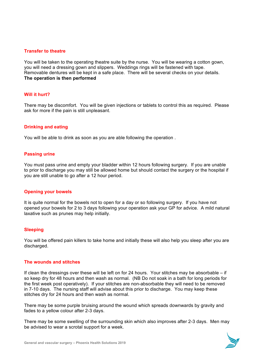## **Transfer to theatre**

You will be taken to the operating theatre suite by the nurse. You will be wearing a cotton gown, you will need a dressing gown and slippers. Weddings rings will be fastened with tape. Removable dentures will be kept in a safe place. There will be several checks on your details. **The operation is then performed**

# **Will it hurt?**

There may be discomfort. You will be given injections or tablets to control this as required. Please ask for more if the pain is still unpleasant.

# **Drinking and eating**

You will be able to drink as soon as you are able following the operation .

#### **Passing urine**

You must pass urine and empty your bladder within 12 hours following surgery. If you are unable to prior to discharge you may still be allowed home but should contact the surgery or the hospital if you are still unable to go after a 12 hour period.

#### **Opening your bowels**

It is quite normal for the bowels not to open for a day or so following surgery. If you have not opened your bowels for 2 to 3 days following your operation ask your GP for advice. A mild natural laxative such as prunes may help initially.

#### **Sleeping**

You will be offered pain killers to take home and initially these will also help you sleep after you are discharged.

#### **The wounds and stitches**

If clean the dressings over these will be left on for 24 hours. Your stitches may be absorbable – if so keep dry for 48 hours and then wash as normal. (NB Do not soak in a bath for long periods for the first week post operatively). If your stitches are non-absorbable they will need to be removed in 7-10 days. The nursing staff will advise about this prior to discharge. You may keep these stitches dry for 24 hours and then wash as normal.

There may be some purple bruising around the wound which spreads downwards by gravity and fades to a yellow colour after 2-3 days.

There may be some swelling of the surrounding skin which also improves after 2-3 days. Men may be advised to wear a scrotal support for a week.

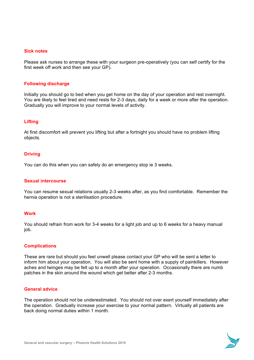#### **Sick notes**

Please ask nurses to arrange these with your surgeon pre-operatively (you can self certify for the first week off work and then see your GP).

#### **Following discharge**

Initially you should go to bed when you get home on the day of your operation and rest overnight. You are likely to feel tired and need rests for 2-3 days, daily for a week or more after the operation. Gradually you will improve to your normal levels of activity.

# **Lifting**

At first discomfort will prevent you lifting but after a fortnight you should have no problem lifting objects.

#### **Driving**

You can do this when you can safely do an emergency stop ie 3 weeks.

#### **Sexual intercourse**

You can resume sexual relations usually 2-3 weeks after, as you find comfortable. Remember the hernia operation is not a sterilisation procedure.

#### **Work**

You should refrain from work for 3-4 weeks for a light job and up to 6 weeks for a heavy manual job.

#### **Complications**

These are rare but should you feel unwell please contact your GP who will be sent a letter to inform him about your operation. You will also be sent home with a supply of painkillers. However aches and twinges may be felt up to a month after your operation. Occasionally there are numb patches in the skin around the wound which get better after 2-3 months.

#### **General advice**

The operation should not be underestimated. You should not over exert yourself immediately after the operation. Gradually increase your exercise to your normal pattern. Virtually all patients are back doing normal duties within 1 month.